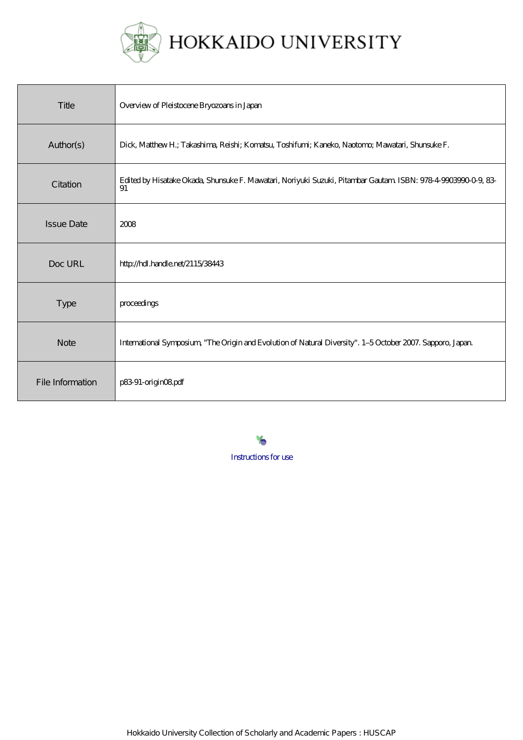

| Title             | Overview of Pleistocene Bryozoans in Japan                                                                          |
|-------------------|---------------------------------------------------------------------------------------------------------------------|
| Author(s)         | Dick, Matthew H.; Takashima, Reishi; Komatsu, Toshifuni; Kaneko, Naotomo; Mawatari, Shunsuke F.                     |
| Citation          | Edited by Hisatake Okada, Shunsuke F. Mawatari, Noriyuki Suzuki, Pitambar Gautam ISBN: 978-4-9903990-0-9, 83-<br>91 |
| <b>Issue Date</b> | 2008                                                                                                                |
| Doc URL           | http://hdl.handle.net/2115/38443                                                                                    |
| <b>Type</b>       | proceedings                                                                                                         |
| <b>Note</b>       | International Symposium, "The Origin and Evolution of Natural Diversity". 1-5 October 2007. Sapporo, Japan          |
| File Information  | p8391-origin08pdf                                                                                                   |

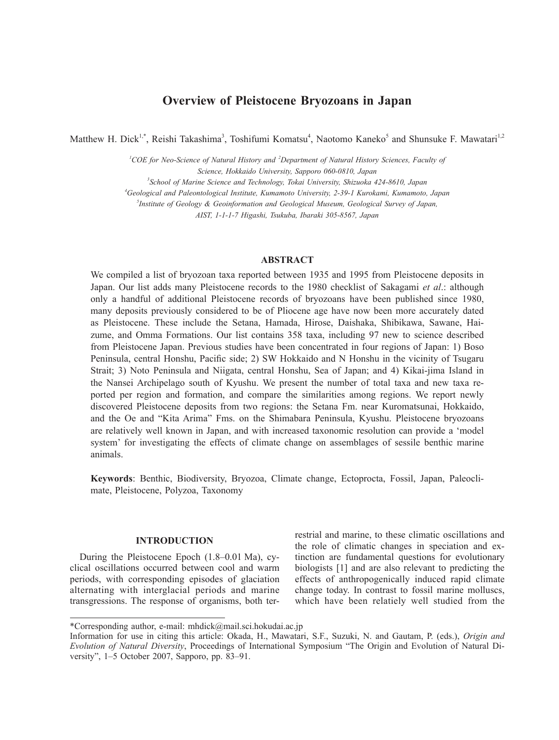# **Overview of Pleistocene Bryozoans in Japan**

Matthew H. Dick<sup>1,\*</sup>, Reishi Takashima<sup>3</sup>, Toshifumi Komatsu<sup>4</sup>, Naotomo Kaneko<sup>5</sup> and Shunsuke F. Mawatari<sup>1,2</sup>

<sup>1</sup> COE for Neo-Science of Natural History and <sup>2</sup> Department of Natural History Sciences, Faculty of *Science, Hokkaido University, Sapporo 060-0810, Japan*

*3 School of Marine Science and Technology, Tokai University, Shizuoka 424-8610, Japan*

*4 Geological and Paleontological Institute, Kumamoto University, 2-39-1 Kurokami, Kumamoto, Japan*

*5 Institute of Geology & Geoinformation and Geological Museum, Geological Survey of Japan,*

*AIST, 1-1-1-7 Higashi, Tsukuba, Ibaraki 305-8567, Japan*

## **ABSTRACT**

We compiled a list of bryozoan taxa reported between 1935 and 1995 from Pleistocene deposits in Japan. Our list adds many Pleistocene records to the 1980 checklist of Sakagami *et al*.: although only a handful of additional Pleistocene records of bryozoans have been published since 1980, many deposits previously considered to be of Pliocene age have now been more accurately dated as Pleistocene. These include the Setana, Hamada, Hirose, Daishaka, Shibikawa, Sawane, Haizume, and Omma Formations. Our list contains 358 taxa, including 97 new to science described from Pleistocene Japan. Previous studies have been concentrated in four regions of Japan: 1) Boso Peninsula, central Honshu, Pacific side; 2) SW Hokkaido and N Honshu in the vicinity of Tsugaru Strait; 3) Noto Peninsula and Niigata, central Honshu, Sea of Japan; and 4) Kikai-jima Island in the Nansei Archipelago south of Kyushu. We present the number of total taxa and new taxa reported per region and formation, and compare the similarities among regions. We report newly discovered Pleistocene deposits from two regions: the Setana Fm. near Kuromatsunai, Hokkaido, and the Oe and "Kita Arima" Fms. on the Shimabara Peninsula, Kyushu. Pleistocene bryozoans are relatively well known in Japan, and with increased taxonomic resolution can provide a 'model system' for investigating the effects of climate change on assemblages of sessile benthic marine animals.

**Keywords**: Benthic, Biodiversity, Bryozoa, Climate change, Ectoprocta, Fossil, Japan, Paleoclimate, Pleistocene, Polyzoa, Taxonomy

### **INTRODUCTION**

During the Pleistocene Epoch (1.8–0.01 Ma), cyclical oscillations occurred between cool and warm periods, with corresponding episodes of glaciation alternating with interglacial periods and marine transgressions. The response of organisms, both terrestrial and marine, to these climatic oscillations and the role of climatic changes in speciation and extinction are fundamental questions for evolutionary biologists [1] and are also relevant to predicting the effects of anthropogenically induced rapid climate change today. In contrast to fossil marine molluscs, which have been relatiely well studied from the

<sup>\*</sup>Corresponding author, e-mail: mhdick@mail.sci.hokudai.ac.jp

Information for use in citing this article: Okada, H., Mawatari, S.F., Suzuki, N. and Gautam, P. (eds.), *Origin and Evolution of Natural Diversity*, Proceedings of International Symposium "The Origin and Evolution of Natural Diversity", 1–5 October 2007, Sapporo, pp. 83–91.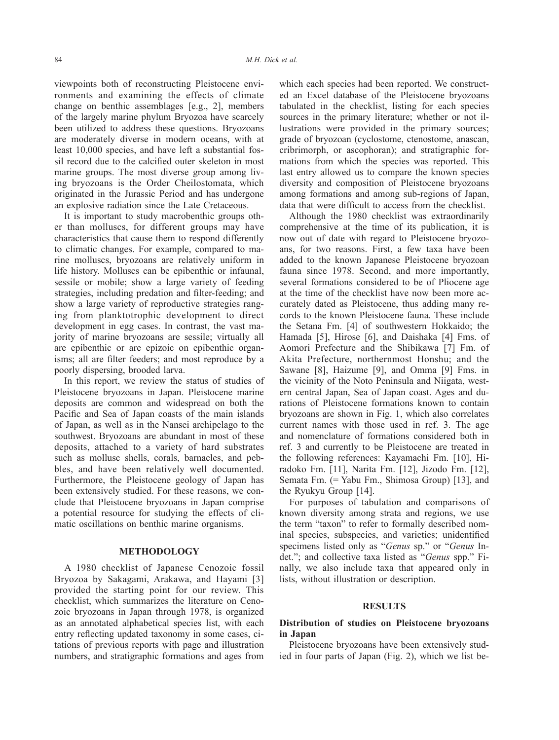viewpoints both of reconstructing Pleistocene environments and examining the effects of climate change on benthic assemblages [e.g., 2], members of the largely marine phylum Bryozoa have scarcely been utilized to address these questions. Bryozoans are moderately diverse in modern oceans, with at least 10,000 species, and have left a substantial fossil record due to the calcified outer skeleton in most marine groups. The most diverse group among living bryozoans is the Order Cheilostomata, which originated in the Jurassic Period and has undergone an explosive radiation since the Late Cretaceous.

It is important to study macrobenthic groups other than molluscs, for different groups may have characteristics that cause them to respond differently to climatic changes. For example, compared to marine molluscs, bryozoans are relatively uniform in life history. Molluscs can be epibenthic or infaunal, sessile or mobile; show a large variety of feeding strategies, including predation and filter-feeding; and show a large variety of reproductive strategies ranging from planktotrophic development to direct development in egg cases. In contrast, the vast majority of marine bryozoans are sessile; virtually all are epibenthic or are epizoic on epibenthic organisms; all are filter feeders; and most reproduce by a poorly dispersing, brooded larva.

In this report, we review the status of studies of Pleistocene bryozoans in Japan. Pleistocene marine deposits are common and widespread on both the Pacific and Sea of Japan coasts of the main islands of Japan, as well as in the Nansei archipelago to the southwest. Bryozoans are abundant in most of these deposits, attached to a variety of hard substrates such as mollusc shells, corals, barnacles, and pebbles, and have been relatively well documented. Furthermore, the Pleistocene geology of Japan has been extensively studied. For these reasons, we conclude that Pleistocene bryozoans in Japan comprise a potential resource for studying the effects of climatic oscillations on benthic marine organisms.

### **METHODOLOGY**

A 1980 checklist of Japanese Cenozoic fossil Bryozoa by Sakagami, Arakawa, and Hayami [3] provided the starting point for our review. This checklist, which summarizes the literature on Cenozoic bryozoans in Japan through 1978, is organized as an annotated alphabetical species list, with each entry reflecting updated taxonomy in some cases, citations of previous reports with page and illustration numbers, and stratigraphic formations and ages from

which each species had been reported. We constructed an Excel database of the Pleistocene bryozoans tabulated in the checklist, listing for each species sources in the primary literature; whether or not illustrations were provided in the primary sources; grade of bryozoan (cyclostome, ctenostome, anascan, cribrimorph, or ascophoran); and stratigraphic formations from which the species was reported. This last entry allowed us to compare the known species diversity and composition of Pleistocene bryozoans among formations and among sub-regions of Japan, data that were difficult to access from the checklist.

Although the 1980 checklist was extraordinarily comprehensive at the time of its publication, it is now out of date with regard to Pleistocene bryozoans, for two reasons. First, a few taxa have been added to the known Japanese Pleistocene bryozoan fauna since 1978. Second, and more importantly, several formations considered to be of Pliocene age at the time of the checklist have now been more accurately dated as Pleistocene, thus adding many records to the known Pleistocene fauna. These include the Setana Fm. [4] of southwestern Hokkaido; the Hamada [5], Hirose [6], and Daishaka [4] Fms. of Aomori Prefecture and the Shibikawa [7] Fm. of Akita Prefecture, northernmost Honshu; and the Sawane [8], Haizume [9], and Omma [9] Fms. in the vicinity of the Noto Peninsula and Niigata, western central Japan, Sea of Japan coast. Ages and durations of Pleistocene formations known to contain bryozoans are shown in Fig. 1, which also correlates current names with those used in ref. 3. The age and nomenclature of formations considered both in ref. 3 and currently to be Pleistocene are treated in the following references: Kayamachi Fm. [10], Hiradoko Fm. [11], Narita Fm. [12], Jizodo Fm. [12], Semata Fm. (= Yabu Fm., Shimosa Group) [13], and the Ryukyu Group [14].

For purposes of tabulation and comparisons of known diversity among strata and regions, we use the term "taxon" to refer to formally described nominal species, subspecies, and varieties; unidentified specimens listed only as "*Genus* sp." or "*Genus* Indet."; and collective taxa listed as "*Genus* spp." Finally, we also include taxa that appeared only in lists, without illustration or description.

#### **RESULTS**

### **Distribution of studies on Pleistocene bryozoans in Japan**

Pleistocene bryozoans have been extensively studied in four parts of Japan (Fig. 2), which we list be-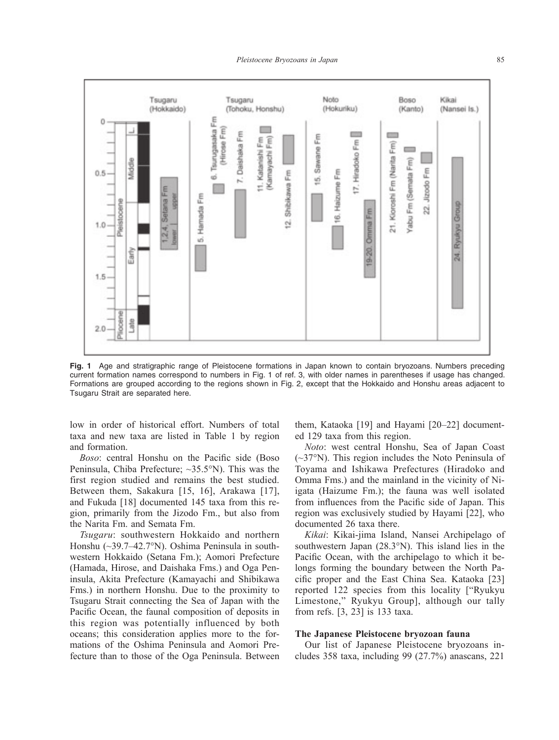

**Fig. 1** Age and stratigraphic range of Pleistocene formations in Japan known to contain bryozoans. Numbers preceding current formation names correspond to numbers in Fig. 1 of ref. 3, with older names in parentheses if usage has changed. Formations are grouped according to the regions shown in Fig. 2, except that the Hokkaido and Honshu areas adjacent to Tsugaru Strait are separated here.

low in order of historical effort. Numbers of total taxa and new taxa are listed in Table 1 by region and formation.

*Boso*: central Honshu on the Pacific side (Boso Peninsula, Chiba Prefecture; ~35.5°N). This was the first region studied and remains the best studied. Between them, Sakakura [15, 16], Arakawa [17], and Fukuda [18] documented 145 taxa from this region, primarily from the Jizodo Fm., but also from the Narita Fm. and Semata Fm.

*Tsugaru*: southwestern Hokkaido and northern Honshu (~39.7–42.7°N). Oshima Peninsula in southwestern Hokkaido (Setana Fm.); Aomori Prefecture (Hamada, Hirose, and Daishaka Fms.) and Oga Peninsula, Akita Prefecture (Kamayachi and Shibikawa Fms.) in northern Honshu. Due to the proximity to Tsugaru Strait connecting the Sea of Japan with the Pacific Ocean, the faunal composition of deposits in this region was potentially influenced by both oceans; this consideration applies more to the formations of the Oshima Peninsula and Aomori Prefecture than to those of the Oga Peninsula. Between them, Kataoka [19] and Hayami [20–22] documented 129 taxa from this region.

*Noto*: west central Honshu, Sea of Japan Coast (~37°N). This region includes the Noto Peninsula of Toyama and Ishikawa Prefectures (Hiradoko and Omma Fms.) and the mainland in the vicinity of Niigata (Haizume Fm.); the fauna was well isolated from influences from the Pacific side of Japan. This region was exclusively studied by Hayami [22], who documented 26 taxa there.

*Kikai*: Kikai-jima Island, Nansei Archipelago of southwestern Japan (28.3°N). This island lies in the Pacific Ocean, with the archipelago to which it belongs forming the boundary between the North Pacific proper and the East China Sea. Kataoka [23] reported 122 species from this locality ["Ryukyu Limestone," Ryukyu Group], although our tally from refs. [3, 23] is 133 taxa.

# **The Japanese Pleistocene bryozoan fauna**

Our list of Japanese Pleistocene bryozoans includes 358 taxa, including 99 (27.7%) anascans, 221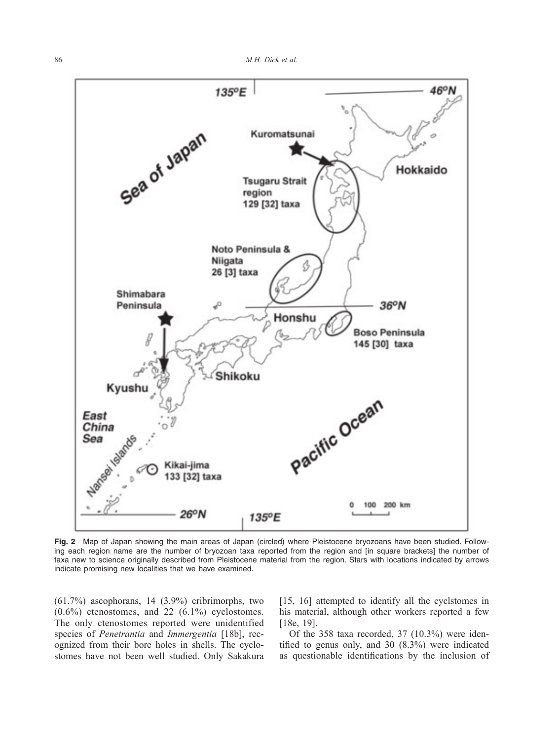

**Fig. 2** Map of Japan showing the main areas of Japan (circled) where Pleistocene bryozoans have been studied. Following each region name are the number of bryozoan taxa reported from the region and [in square brackets] the number of taxa new to science originally described from Pleistocene material from the region. Stars with locations indicated by arrows indicate promising new localities that we have examined.

(61.7%) ascophorans, 14 (3.9%) cribrimorphs, two (0.6%) ctenostomes, and 22 (6.1%) cyclostomes. The only ctenostomes reported were unidentified species of *Penetrantia* and *Immergentia* [18b], recognized from their bore holes in shells. The cyclostomes have not been well studied. Only Sakakura [15, 16] attempted to identify all the cyclstomes in his material, although other workers reported a few [18e, 19].

Of the 358 taxa recorded, 37 (10.3%) were identified to genus only, and 30 (8.3%) were indicated as questionable identifications by the inclusion of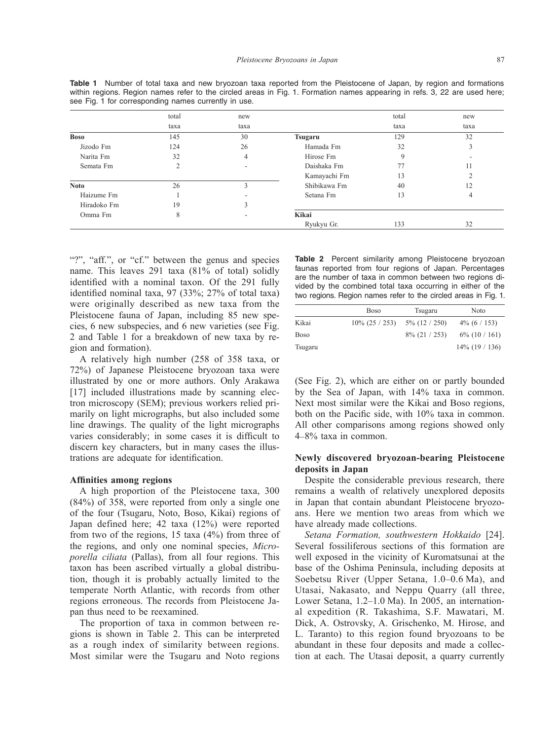|             | total          | new                      |                | total | new  |
|-------------|----------------|--------------------------|----------------|-------|------|
|             | taxa           | taxa                     |                | taxa  | taxa |
| <b>Boso</b> | 145            | 30                       | <b>Tsugaru</b> | 129   | 32   |
| Jizodo Fm   | 124            | 26                       | Hamada Fm      | 32    | 3    |
| Narita Fm   | 32             | 4                        | Hirose Fm      | 9     |      |
| Semata Fm   | $\overline{2}$ |                          | Daishaka Fm    | 77    | 11   |
|             |                |                          | Kamayachi Fm   | 13    |      |
| <b>Noto</b> | 26             | 3                        | Shibikawa Fm   | 40    | 12   |
| Haizume Fm  |                |                          | Setana Fm      | 13    | 4    |
| Hiradoko Fm | 19             |                          |                |       |      |
| Omma Fm     | 8              | $\overline{\phantom{a}}$ | Kikai          |       |      |
|             |                |                          | Ryukyu Gr.     | 133   | 32   |

**Table 1** Number of total taxa and new bryozoan taxa reported from the Pleistocene of Japan, by region and formations within regions. Region names refer to the circled areas in Fig. 1. Formation names appearing in refs. 3, 22 are used here; see Fig. 1 for corresponding names currently in use.

"?", "aff.", or "cf." between the genus and species name. This leaves 291 taxa (81% of total) solidly identified with a nominal taxon. Of the 291 fully identified nominal taxa, 97 (33%; 27% of total taxa) were originally described as new taxa from the Pleistocene fauna of Japan, including 85 new species, 6 new subspecies, and 6 new varieties (see Fig. 2 and Table 1 for a breakdown of new taxa by region and formation).

A relatively high number (258 of 358 taxa, or 72%) of Japanese Pleistocene bryozoan taxa were illustrated by one or more authors. Only Arakawa [17] included illustrations made by scanning electron microscopy (SEM); previous workers relied primarily on light micrographs, but also included some line drawings. The quality of the light micrographs varies considerably; in some cases it is difficult to discern key characters, but in many cases the illustrations are adequate for identification.

### **Affinities among regions**

A high proportion of the Pleistocene taxa, 300 (84%) of 358, were reported from only a single one of the four (Tsugaru, Noto, Boso, Kikai) regions of Japan defined here; 42 taxa (12%) were reported from two of the regions, 15 taxa (4%) from three of the regions, and only one nominal species, *Microporella ciliata* (Pallas), from all four regions. This taxon has been ascribed virtually a global distribution, though it is probably actually limited to the temperate North Atlantic, with records from other regions erroneous. The records from Pleistocene Japan thus need to be reexamined.

The proportion of taxa in common between regions is shown in Table 2. This can be interpreted as a rough index of similarity between regions. Most similar were the Tsugaru and Noto regions

Table 2 Percent similarity among Pleistocene bryozoan faunas reported from four regions of Japan. Percentages are the number of taxa in common between two regions divided by the combined total taxa occurring in either of the two regions. Region names refer to the circled areas in Fig. 1.

|             | <b>Boso</b>       | Tsugaru          | Noto              |
|-------------|-------------------|------------------|-------------------|
| Kikai       | $10\%$ (25 / 253) | 5\% (12 / 250)   | $4\%$ (6 / 153)   |
| <b>Boso</b> |                   | $8\%$ (21 / 253) | $6\%$ (10 / 161)  |
| Tsugaru     |                   |                  | $14\%$ (19 / 136) |

(See Fig. 2), which are either on or partly bounded by the Sea of Japan, with 14% taxa in common. Next most similar were the Kikai and Boso regions, both on the Pacific side, with 10% taxa in common. All other comparisons among regions showed only 4–8% taxa in common.

### **Newly discovered bryozoan-bearing Pleistocene deposits in Japan**

Despite the considerable previous research, there remains a wealth of relatively unexplored deposits in Japan that contain abundant Pleistocene bryozoans. Here we mention two areas from which we have already made collections.

*Setana Formation, southwestern Hokkaido* [24]. Several fossiliferous sections of this formation are well exposed in the vicinity of Kuromatsunai at the base of the Oshima Peninsula, including deposits at Soebetsu River (Upper Setana, 1.0–0.6 Ma), and Utasai, Nakasato, and Neppu Quarry (all three, Lower Setana, 1.2–1.0 Ma). In 2005, an international expedition (R. Takashima, S.F. Mawatari, M. Dick, A. Ostrovsky, A. Grischenko, M. Hirose, and L. Taranto) to this region found bryozoans to be abundant in these four deposits and made a collection at each. The Utasai deposit, a quarry currently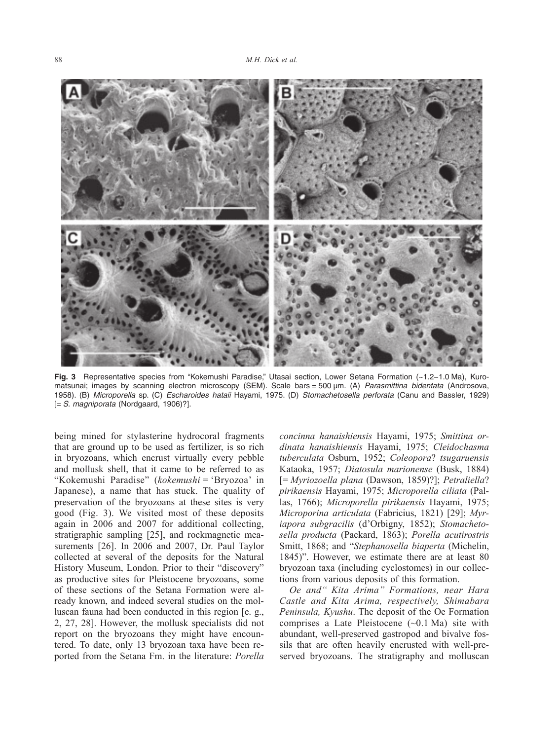

**Fig. 3** Representative species from "Kokemushi Paradise," Utasai section, Lower Setana Formation (~1.2−1.0 Ma), Kuromatsunai; images by scanning electron microscopy (SEM). Scale bars = 500 μm. (A) *Parasmittina bidentata* (Androsova, 1958). (B) *Microporella* sp. (C) *Escharoides hataii* Hayami, 1975. (D) *Stomachetosella perforata* (Canu and Bassler, 1929) [= *S. magniporata* (Nordgaard, 1906)?].

being mined for stylasterine hydrocoral fragments that are ground up to be used as fertilizer, is so rich in bryozoans, which encrust virtually every pebble and mollusk shell, that it came to be referred to as "Kokemushi Paradise" (*kokemushi* = 'Bryozoa' in Japanese), a name that has stuck. The quality of preservation of the bryozoans at these sites is very good (Fig. 3). We visited most of these deposits again in 2006 and 2007 for additional collecting, stratigraphic sampling [25], and rockmagnetic measurements [26]. In 2006 and 2007, Dr. Paul Taylor collected at several of the deposits for the Natural History Museum, London. Prior to their "discovery" as productive sites for Pleistocene bryozoans, some of these sections of the Setana Formation were already known, and indeed several studies on the molluscan fauna had been conducted in this region [e. g., 2, 27, 28]. However, the mollusk specialists did not report on the bryozoans they might have encountered. To date, only 13 bryozoan taxa have been reported from the Setana Fm. in the literature: *Porella* 

*concinna hanaishiensis* Hayami, 1975; *Smittina ordinata hanaishiensis* Hayami, 1975; *Cleidochasma tuberculata* Osburn, 1952; *Coleopora*? *tsugaruensis* Kataoka, 1957; *Diatosula marionense* (Busk, 1884) [= *Myriozoella plana* (Dawson, 1859)?]; *Petraliella*? *pirikaensis* Hayami, 1975; *Microporella ciliata* (Pallas, 1766); *Microporella pirikaensis* Hayami, 1975; *Microporina articulata* (Fabricius, 1821) [29]; *Myriapora subgracilis* (d'Orbigny, 1852); *Stomachetosella producta* (Packard, 1863); *Porella acutirostris* Smitt, 1868; and "*Stephanosella biaperta* (Michelin, 1845)". However, we estimate there are at least 80 bryozoan taxa (including cyclostomes) in our collections from various deposits of this formation.

*Oe and " Kita Arima" Formations, near Hara Castle and Kita Arima, respectively, Shimabara Peninsula, Kyushu*. The deposit of the Oe Formation comprises a Late Pleistocene  $(\sim 0.1 \text{ Ma})$  site with abundant, well-preserved gastropod and bivalve fossils that are often heavily encrusted with well-preserved bryozoans. The stratigraphy and molluscan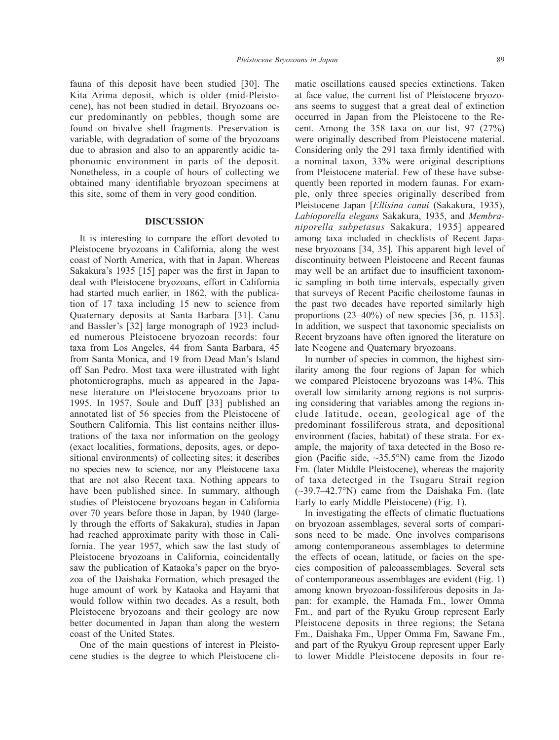fauna of this deposit have been studied [30]. The Kita Arima deposit, which is older (mid-Pleistocene), has not been studied in detail. Bryozoans occur predominantly on pebbles, though some are found on bivalve shell fragments. Preservation is variable, with degradation of some of the bryozoans due to abrasion and also to an apparently acidic taphonomic environment in parts of the deposit. Nonetheless, in a couple of hours of collecting we obtained many identifiable bryozoan specimens at this site, some of them in very good condition.

### **DISCUSSION**

It is interesting to compare the effort devoted to Pleistocene bryozoans in California, along the west coast of North America, with that in Japan. Whereas Sakakura's 1935 [15] paper was the first in Japan to deal with Pleistocene bryozoans, effort in California had started much earlier, in 1862, with the publication of 17 taxa including 15 new to science from Quaternary deposits at Santa Barbara [31]. Canu and Bassler's [32] large monograph of 1923 included numerous Pleistocene bryozoan records: four taxa from Los Angeles, 44 from Santa Barbara, 45 from Santa Monica, and 19 from Dead Man's Island off San Pedro. Most taxa were illustrated with light photomicrographs, much as appeared in the Japanese literature on Pleistocene bryozoans prior to 1995. In 1957, Soule and Duff [33] published an annotated list of 56 species from the Pleistocene of Southern California. This list contains neither illustrations of the taxa nor information on the geology (exact localities, formations, deposits, ages, or depositional environments) of collecting sites; it describes no species new to science, nor any Pleistocene taxa that are not also Recent taxa. Nothing appears to have been published since. In summary, although studies of Pleistocene bryozoans began in California over 70 years before those in Japan, by 1940 (largely through the efforts of Sakakura), studies in Japan had reached approximate parity with those in California. The year 1957, which saw the last study of Pleistocene bryozoans in California, coincidentally saw the publication of Kataoka's paper on the bryozoa of the Daishaka Formation, which presaged the huge amount of work by Kataoka and Hayami that would follow within two decades. As a result, both Pleistocene bryozoans and their geology are now better documented in Japan than along the western coast of the United States.

One of the main questions of interest in Pleistocene studies is the degree to which Pleistocene climatic oscillations caused species extinctions. Taken at face value, the current list of Pleistocene bryozoans seems to suggest that a great deal of extinction occurred in Japan from the Pleistocene to the Recent. Among the 358 taxa on our list, 97 (27%) were originally described from Pleistocene material. Considering only the 291 taxa firmly identified with a nominal taxon, 33% were original descriptions from Pleistocene material. Few of these have subsequently been reported in modern faunas. For example, only three species originally described from Pleistocene Japan [*Ellisina canui* (Sakakura, 1935), *Labioporella elegans* Sakakura, 1935, and *Membraniporella subpetasus* Sakakura, 1935] appeared among taxa included in checklists of Recent Japanese bryozoans [34, 35]. This apparent high level of discontinuity between Pleistocene and Recent faunas may well be an artifact due to insufficient taxonomic sampling in both time intervals, especially given that surveys of Recent Pacific cheilostome faunas in the past two decades have reported similarly high proportions  $(23-40\%)$  of new species [36, p. 1153]. In addition, we suspect that taxonomic specialists on Recent bryzoans have often ignored the literature on late Neogene and Quaternary bryozoans.

In number of species in common, the highest similarity among the four regions of Japan for which we compared Pleistocene bryozoans was 14%. This overall low similarity among regions is not surprising considering that variables among the regions include latitude, ocean, geological age of the predominant fossiliferous strata, and depositional environment (facies, habitat) of these strata. For example, the majority of taxa detected in the Boso region (Pacific side,  $\sim$ 35.5°N) came from the Jizodo Fm. (later Middle Pleistocene), whereas the majority of taxa detectged in the Tsugaru Strait region (~39.7–42.7°N) came from the Daishaka Fm. (late Early to early Middle Pleistocene) (Fig. 1).

In investigating the effects of climatic fluctuations on bryozoan assemblages, several sorts of comparisons need to be made. One involves comparisons among contemporaneous assemblages to determine the effects of ocean, latitude, or facies on the species composition of paleoassemblages. Several sets of contemporaneous assemblages are evident (Fig. 1) among known bryozoan-fossiliferous deposits in Japan: for example, the Hamada Fm., lower Omma Fm., and part of the Ryuku Group represent Early Pleistocene deposits in three regions; the Setana Fm., Daishaka Fm., Upper Omma Fm, Sawane Fm., and part of the Ryukyu Group represent upper Early to lower Middle Pleistocene deposits in four re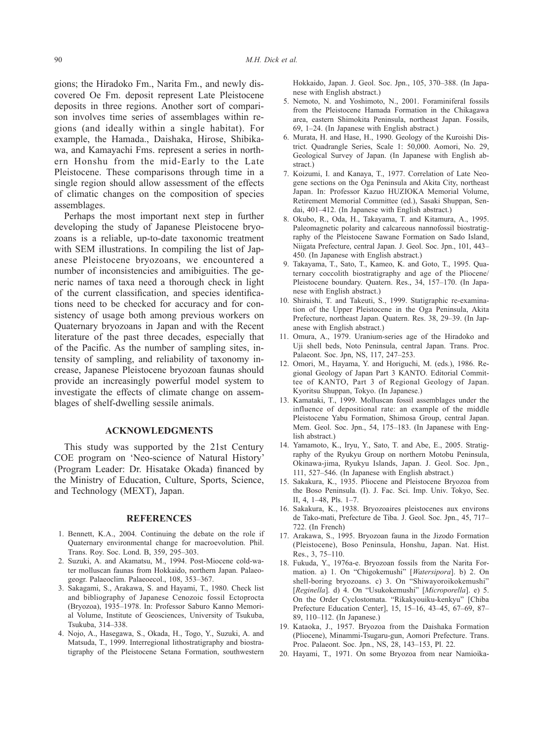gions; the Hiradoko Fm., Narita Fm., and newly discovered Oe Fm. deposit represent Late Pleistocene deposits in three regions. Another sort of comparison involves time series of assemblages within regions (and ideally within a single habitat). For example, the Hamada., Daishaka, Hirose, Shibikawa, and Kamayachi Fms. represent a series in northern Honshu from the mid-Early to the Late Pleistocene. These comparisons through time in a single region should allow assessment of the effects of climatic changes on the composition of species assemblages.

Perhaps the most important next step in further developing the study of Japanese Pleistocene bryozoans is a reliable, up-to-date taxonomic treatment with SEM illustrations. In compiling the list of Japanese Pleistocene bryozoans, we encountered a number of inconsistencies and amibiguities. The generic names of taxa need a thorough check in light of the current classification, and species identifications need to be checked for accuracy and for consistency of usage both among previous workers on Quaternary bryozoans in Japan and with the Recent literature of the past three decades, especially that of the Pacific. As the number of sampling sites, intensity of sampling, and reliability of taxonomy increase, Japanese Pleistocene bryozoan faunas should provide an increasingly powerful model system to investigate the effects of climate change on assemblages of shelf-dwelling sessile animals.

### **ACKNOWLEDGMENTS**

This study was supported by the 21st Century COE program on 'Neo-science of Natural History' (Program Leader: Dr. Hisatake Okada) financed by the Ministry of Education, Culture, Sports, Science, and Technology (MEXT), Japan.

#### **REFERENCES**

- 1. Bennett, K.A., 2004. Continuing the debate on the role if Quaternary environmental change for macroevolution. Phil. Trans. Roy. Soc. Lond. B, 359, 295–303.
- 2. Suzuki, A. and Akamatsu, M., 1994. Post-Miocene cold-water molluscan faunas from Hokkaido, northern Japan. Palaeogeogr. Palaeoclim. Palaeoecol., 108, 353–367.
- 3. Sakagami, S., Arakawa, S. and Hayami, T., 1980. Check list and bibliography of Japanese Cenozoic fossil Ectoprocta (Bryozoa), 1935–1978. In: Professor Saburo Kanno Memorial Volume, Institute of Geosciences, University of Tsukuba, Tsukuba, 314–338.
- 4. Nojo, A., Hasegawa, S., Okada, H., Togo, Y., Suzuki, A. and Matsuda, T., 1999. Interregional lithostratigraphy and biostratigraphy of the Pleistocene Setana Formation, southwestern

Hokkaido, Japan. J. Geol. Soc. Jpn., 105, 370–388. (In Japanese with English abstract.)

- 5. Nemoto, N. and Yoshimoto, N., 2001. Foraminiferal fossils from the Pleistocene Hamada Formation in the Chikagawa area, eastern Shimokita Peninsula, northeast Japan. Fossils, 69, 1–24. (In Japanese with English abstract.)
- 6. Murata, H. and Hase, H., 1990. Geology of the Kuroishi District. Quadrangle Series, Scale 1: 50,000. Aomori, No. 29, Geological Survey of Japan. (In Japanese with English abstract.)
- 7. Koizumi, I. and Kanaya, T., 1977. Correlation of Late Neogene sections on the Oga Peninsula and Akita City, northeast Japan. In: Professor Kazuo HUZIOKA Memorial Volume, Retirement Memorial Committee (ed.), Sasaki Shuppan, Sendai, 401–412. (In Japanese with English abstract.)
- 8. Okubo, R., Oda, H., Takayama, T. and Kitamura, A., 1995. Paleomagnetic polarity and calcareous nannofossil biostratigraphy of the Pleistocene Sawane Formation on Sado Island, Niigata Prefecture, central Japan. J. Geol. Soc. Jpn., 101, 443– 450. (In Japanese with English abstract.)
- 9. Takayama, T., Sato, T., Kameo, K. and Goto, T., 1995. Quaternary coccolith biostratigraphy and age of the Pliocene/ Pleistocene boundary. Quatern. Res., 34, 157–170. (In Japanese with English abstract.)
- 10. Shiraishi, T. and Takeuti, S., 1999. Statigraphic re-examination of the Upper Pleistocene in the Oga Peninsula, Akita Prefecture, northeast Japan. Quatern. Res. 38, 29–39. (In Japanese with English abstract.)
- 11. Omura, A., 1979. Uranium-series age of the Hiradoko and Uji shell beds, Noto Peninsula, central Japan. Trans. Proc. Palaeont. Soc. Jpn, NS, 117, 247–253.
- 12. Omori, M., Hayama, Y. and Horiguchi, M. (eds.), 1986. Regional Geology of Japan Part 3 KANTO. Editorial Committee of KANTO, Part 3 of Regional Geology of Japan. Kyoritsu Shuppan, Tokyo. (In Japanese.)
- 13. Kamataki, T., 1999. Molluscan fossil assemblages under the influence of depositional rate: an example of the middle Pleistocene Yabu Formation, Shimosa Group, central Japan. Mem. Geol. Soc. Jpn., 54, 175–183. (In Japanese with English abstract.)
- 14. Yamamoto, K., Iryu, Y., Sato, T. and Abe, E., 2005. Stratigraphy of the Ryukyu Group on northern Motobu Peninsula, Okinawa-jima, Ryukyu Islands, Japan. J. Geol. Soc. Jpn., 111, 527–546. (In Japanese with English abstract.)
- 15. Sakakura, K., 1935. Pliocene and Pleistocene Bryozoa from the Boso Peninsula. (I). J. Fac. Sci. Imp. Univ. Tokyo, Sec. II, 4, 1–48, Pls. 1–7.
- 16. Sakakura, K., 1938. Bryozoaires pleistocenes aux environs de Tako-mati, Prefecture de Tiba. J. Geol. Soc. Jpn., 45, 717– 722. (In French)
- 17. Arakawa, S., 1995. Bryozoan fauna in the Jizodo Formation (Pleistocene), Boso Peninsula, Honshu, Japan. Nat. Hist. Res., 3, 75–110.
- 18. Fukuda, Y., 1976a-e. Bryozoan fossils from the Narita Formation. a) 1. On "Chigokemushi" [*Watersipora*]. b) 2. On shell-boring bryozoans. c) 3. On "Shiwayoroikokemushi" [*Reginella*]. d) 4. On "Usukokemushi" [*Microporella*]. e) 5. On the Order Cyclostomata. "Rikakyouiku-kenkyu" [Chiba Prefecture Education Center], 15, 15–16, 43–45, 67–69, 87– 89, 110–112. (In Japanese.)
- 19. Kataoka, J., 1957. Bryozoa from the Daishaka Formation (Pliocene), Minammi-Tsugaru-gun, Aomori Prefecture. Trans. Proc. Palaeont. Soc. Jpn., NS, 28, 143–153, Pl. 22.
- 20. Hayami, T., 1971. On some Bryozoa from near Namioika-